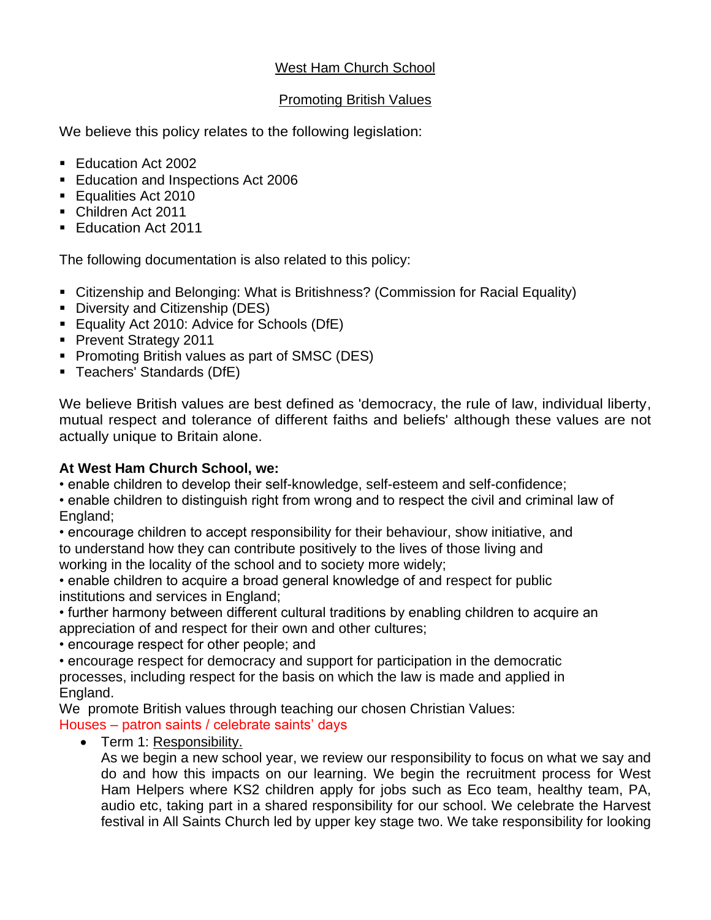## West Ham Church School

### Promoting British Values

We believe this policy relates to the following legislation:

- Education Act 2002
- Education and Inspections Act 2006
- Equalities Act 2010
- Children Act 2011
- Education Act 2011

The following documentation is also related to this policy:

- Citizenship and Belonging: What is Britishness? (Commission for Racial Equality)
- Diversity and Citizenship (DES)
- Equality Act 2010: Advice for Schools (DfE)
- Prevent Strategy 2011
- Promoting British values as part of SMSC (DES)
- Teachers' Standards (DfE)

We believe British values are best defined as 'democracy, the rule of law, individual liberty, mutual respect and tolerance of different faiths and beliefs' although these values are not actually unique to Britain alone.

## **At West Ham Church School, we:**

• enable children to develop their self-knowledge, self-esteem and self-confidence;

• enable children to distinguish right from wrong and to respect the civil and criminal law of England;

• encourage children to accept responsibility for their behaviour, show initiative, and to understand how they can contribute positively to the lives of those living and working in the locality of the school and to society more widely;

• enable children to acquire a broad general knowledge of and respect for public institutions and services in England;

• further harmony between different cultural traditions by enabling children to acquire an appreciation of and respect for their own and other cultures;

• encourage respect for other people; and

• encourage respect for democracy and support for participation in the democratic processes, including respect for the basis on which the law is made and applied in England.

We promote British values through teaching our chosen Christian Values:

## Houses – patron saints / celebrate saints' days

• Term 1: Responsibility.

As we begin a new school year, we review our responsibility to focus on what we say and do and how this impacts on our learning. We begin the recruitment process for West Ham Helpers where KS2 children apply for jobs such as Eco team, healthy team, PA, audio etc, taking part in a shared responsibility for our school. We celebrate the Harvest festival in All Saints Church led by upper key stage two. We take responsibility for looking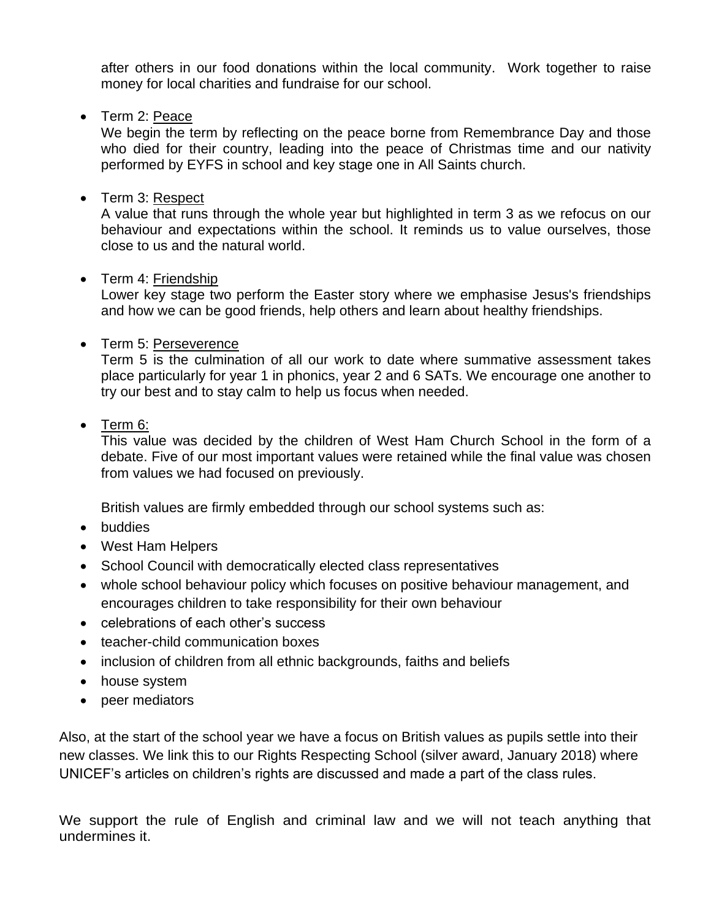after others in our food donations within the local community. Work together to raise money for local charities and fundraise for our school.

• Term 2: Peace

We begin the term by reflecting on the peace borne from Remembrance Day and those who died for their country, leading into the peace of Christmas time and our nativity performed by EYFS in school and key stage one in All Saints church.

• Term 3: Respect

A value that runs through the whole year but highlighted in term 3 as we refocus on our behaviour and expectations within the school. It reminds us to value ourselves, those close to us and the natural world.

## • Term 4: Friendship

Lower key stage two perform the Easter story where we emphasise Jesus's friendships and how we can be good friends, help others and learn about healthy friendships.

## • Term 5: Perseverence

Term 5 is the culmination of all our work to date where summative assessment takes place particularly for year 1 in phonics, year 2 and 6 SATs. We encourage one another to try our best and to stay calm to help us focus when needed.

# • Term 6:

This value was decided by the children of West Ham Church School in the form of a debate. Five of our most important values were retained while the final value was chosen from values we had focused on previously.

British values are firmly embedded through our school systems such as:

- buddies
- West Ham Helpers
- School Council with democratically elected class representatives
- whole school behaviour policy which focuses on positive behaviour management, and encourages children to take responsibility for their own behaviour
- celebrations of each other's success
- teacher-child communication boxes
- inclusion of children from all ethnic backgrounds, faiths and beliefs
- house system
- peer mediators

Also, at the start of the school year we have a focus on British values as pupils settle into their new classes. We link this to our Rights Respecting School (silver award, January 2018) where UNICEF's articles on children's rights are discussed and made a part of the class rules.

We support the rule of English and criminal law and we will not teach anything that undermines it.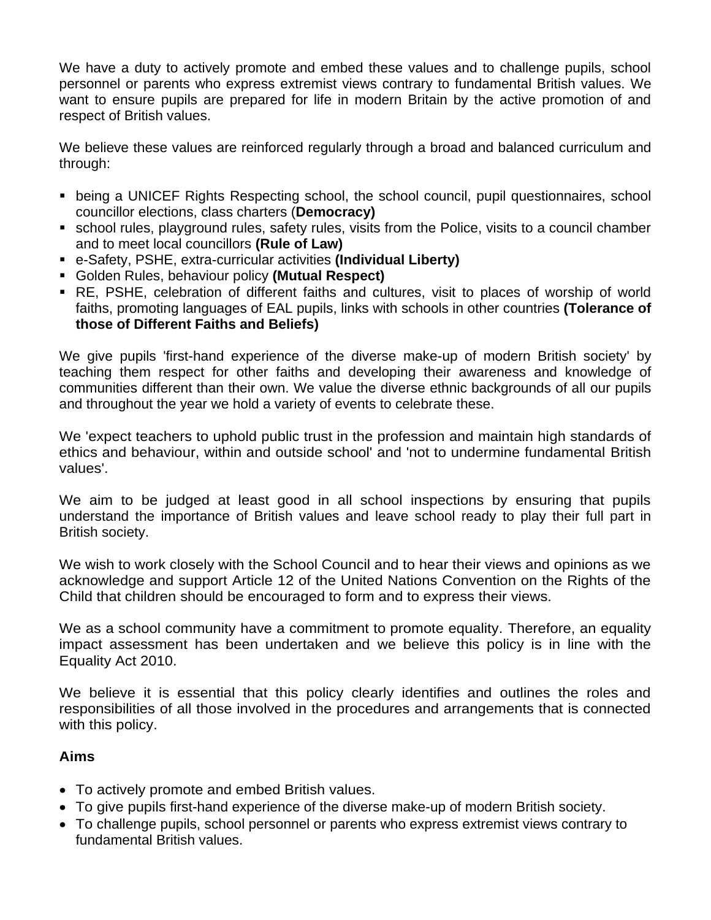We have a duty to actively promote and embed these values and to challenge pupils, school personnel or parents who express extremist views contrary to fundamental British values. We want to ensure pupils are prepared for life in modern Britain by the active promotion of and respect of British values.

We believe these values are reinforced regularly through a broad and balanced curriculum and through:

- being a UNICEF Rights Respecting school, the school council, pupil questionnaires, school councillor elections, class charters (**Democracy)**
- **EX school rules, playground rules, safety rules, visits from the Police, visits to a council chamber** and to meet local councillors **(Rule of Law)**
- e-Safety, PSHE, extra-curricular activities **(Individual Liberty)**
- Golden Rules, behaviour policy **(Mutual Respect)**
- RE, PSHE, celebration of different faiths and cultures, visit to places of worship of world faiths, promoting languages of EAL pupils, links with schools in other countries **(Tolerance of those of Different Faiths and Beliefs)**

We give pupils 'first-hand experience of the diverse make-up of modern British society' by teaching them respect for other faiths and developing their awareness and knowledge of communities different than their own. We value the diverse ethnic backgrounds of all our pupils and throughout the year we hold a variety of events to celebrate these.

We 'expect teachers to uphold public trust in the profession and maintain high standards of ethics and behaviour, within and outside school' and 'not to undermine fundamental British values'.

We aim to be judged at least good in all school inspections by ensuring that pupils understand the importance of British values and leave school ready to play their full part in British society.

We wish to work closely with the School Council and to hear their views and opinions as we acknowledge and support Article 12 of the United Nations Convention on the Rights of the Child that children should be encouraged to form and to express their views.

We as a school community have a commitment to promote equality. Therefore, an equality impact assessment has been undertaken and we believe this policy is in line with the Equality Act 2010.

We believe it is essential that this policy clearly identifies and outlines the roles and responsibilities of all those involved in the procedures and arrangements that is connected with this policy.

# **Aims**

- To actively promote and embed British values.
- To give pupils first-hand experience of the diverse make-up of modern British society.
- To challenge pupils, school personnel or parents who express extremist views contrary to fundamental British values.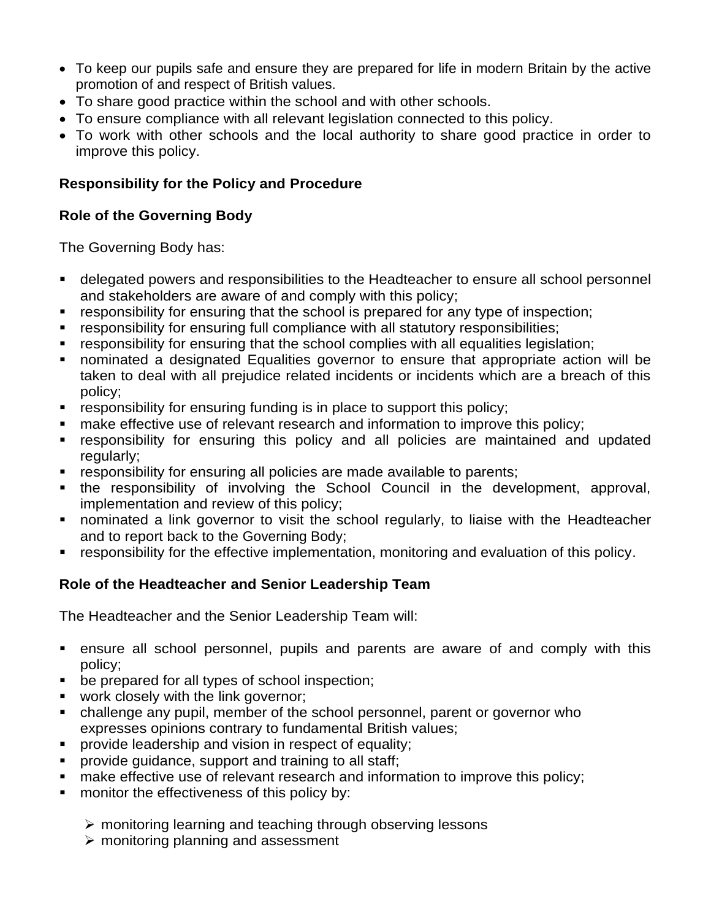- To keep our pupils safe and ensure they are prepared for life in modern Britain by the active promotion of and respect of British values.
- To share good practice within the school and with other schools.
- To ensure compliance with all relevant legislation connected to this policy.
- To work with other schools and the local authority to share good practice in order to improve this policy.

## **Responsibility for the Policy and Procedure**

## **Role of the Governing Body**

The Governing Body has:

- delegated powers and responsibilities to the Headteacher to ensure all school personnel and stakeholders are aware of and comply with this policy;
- responsibility for ensuring that the school is prepared for any type of inspection;
- responsibility for ensuring full compliance with all statutory responsibilities;
- responsibility for ensuring that the school complies with all equalities legislation;
- nominated a designated Equalities governor to ensure that appropriate action will be taken to deal with all prejudice related incidents or incidents which are a breach of this policy;
- responsibility for ensuring funding is in place to support this policy;
- make effective use of relevant research and information to improve this policy;
- **EXT** responsibility for ensuring this policy and all policies are maintained and updated regularly:
- **EXP** responsibility for ensuring all policies are made available to parents;
- the responsibility of involving the School Council in the development, approval, implementation and review of this policy;
- **•** nominated a link governor to visit the school regularly, to liaise with the Headteacher and to report back to the Governing Body;
- responsibility for the effective implementation, monitoring and evaluation of this policy.

# **Role of the Headteacher and Senior Leadership Team**

The Headteacher and the Senior Leadership Team will:

- ensure all school personnel, pupils and parents are aware of and comply with this policy;
- be prepared for all types of school inspection;
- work closely with the link governor;
- challenge any pupil, member of the school personnel, parent or governor who expresses opinions contrary to fundamental British values;
- **•** provide leadership and vision in respect of equality;
- provide guidance, support and training to all staff;
- make effective use of relevant research and information to improve this policy;
- monitor the effectiveness of this policy by:
	- ➢ monitoring learning and teaching through observing lessons
	- $\triangleright$  monitoring planning and assessment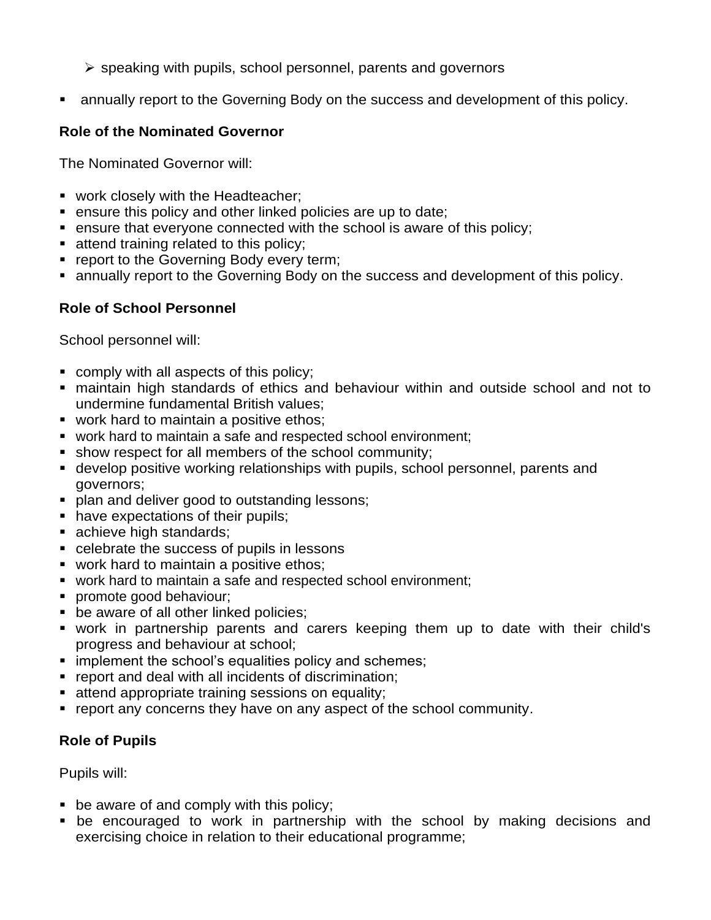- ➢ speaking with pupils, school personnel, parents and governors
- **E** annually report to the Governing Body on the success and development of this policy.

### **Role of the Nominated Governor**

The Nominated Governor will:

- work closely with the Headteacher;
- ensure this policy and other linked policies are up to date;
- ensure that everyone connected with the school is aware of this policy;
- attend training related to this policy;
- **report to the Governing Body every term;**
- annually report to the Governing Body on the success and development of this policy.

#### **Role of School Personnel**

School personnel will:

- comply with all aspects of this policy;
- maintain high standards of ethics and behaviour within and outside school and not to undermine fundamental British values;
- work hard to maintain a positive ethos;
- work hard to maintain a safe and respected school environment;
- **E** show respect for all members of the school community;
- develop positive working relationships with pupils, school personnel, parents and governors;
- **plan and deliver good to outstanding lessons;**
- have expectations of their pupils;
- achieve high standards;
- celebrate the success of pupils in lessons
- work hard to maintain a positive ethos;
- work hard to maintain a safe and respected school environment;
- **•** promote good behaviour;
- be aware of all other linked policies;
- work in partnership parents and carers keeping them up to date with their child's progress and behaviour at school;
- **E** implement the school's equalities policy and schemes;
- report and deal with all incidents of discrimination;
- attend appropriate training sessions on equality;
- report any concerns they have on any aspect of the school community.

## **Role of Pupils**

Pupils will:

- $\bullet$  be aware of and comply with this policy;
- **•** be encouraged to work in partnership with the school by making decisions and exercising choice in relation to their educational programme;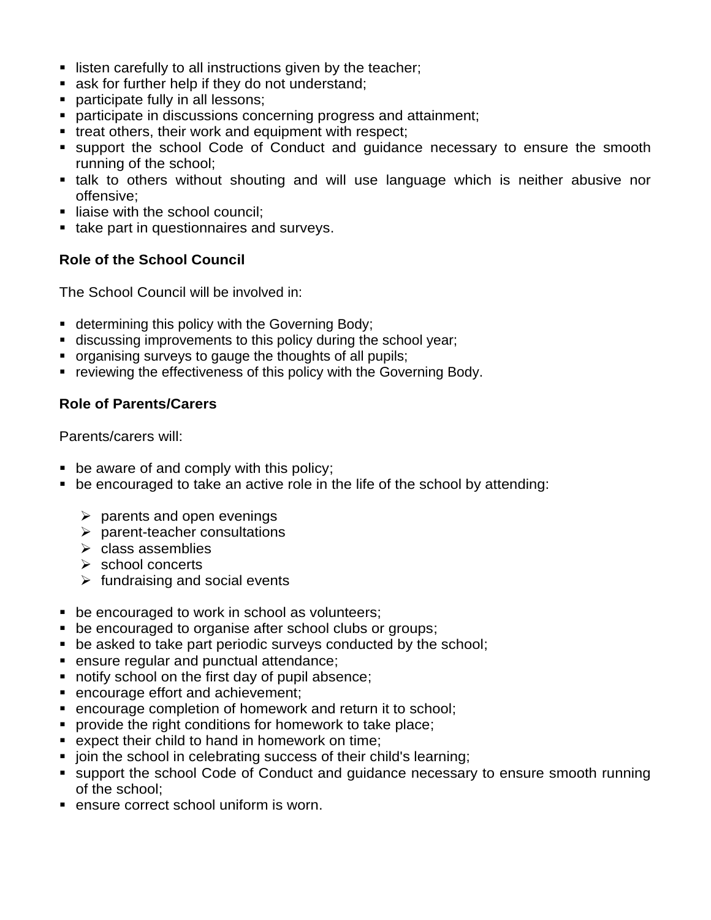- listen carefully to all instructions given by the teacher;
- ask for further help if they do not understand;
- **participate fully in all lessons;**
- participate in discussions concerning progress and attainment;
- treat others, their work and equipment with respect;
- support the school Code of Conduct and quidance necessary to ensure the smooth running of the school;
- **E** talk to others without shouting and will use language which is neither abusive nor offensive;
- liaise with the school council;
- take part in questionnaires and surveys.

### **Role of the School Council**

The School Council will be involved in:

- determining this policy with the Governing Body;
- **EXEDENT** discussing improvements to this policy during the school year;
- organising surveys to gauge the thoughts of all pupils;
- reviewing the effectiveness of this policy with the Governing Body.

#### **Role of Parents/Carers**

Parents/carers will:

- be aware of and comply with this policy;
- be encouraged to take an active role in the life of the school by attending:
	- $\triangleright$  parents and open evenings
	- $\triangleright$  parent-teacher consultations
	- ➢ class assemblies
	- ➢ school concerts
	- $\triangleright$  fundraising and social events
- be encouraged to work in school as volunteers;
- be encouraged to organise after school clubs or groups;
- be asked to take part periodic surveys conducted by the school;
- ensure regular and punctual attendance;
- notify school on the first day of pupil absence;
- encourage effort and achievement;
- encourage completion of homework and return it to school;
- provide the right conditions for homework to take place;
- expect their child to hand in homework on time;
- join the school in celebrating success of their child's learning;
- support the school Code of Conduct and guidance necessary to ensure smooth running of the school;
- **EXECT** ensure correct school uniform is worn.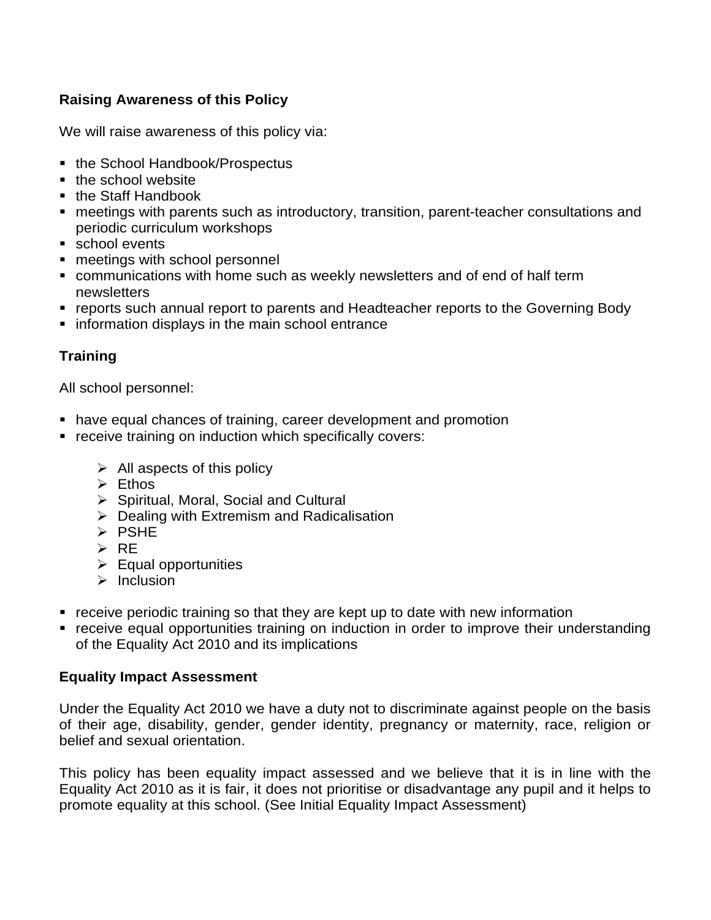## **Raising Awareness of this Policy**

We will raise awareness of this policy via:

- the School Handbook/Prospectus
- the school website
- the Staff Handbook
- meetings with parents such as introductory, transition, parent-teacher consultations and periodic curriculum workshops
- school events
- meetings with school personnel
- communications with home such as weekly newsletters and of end of half term newsletters
- reports such annual report to parents and Headteacher reports to the Governing Body
- information displays in the main school entrance

## **Training**

All school personnel:

- have equal chances of training, career development and promotion
- receive training on induction which specifically covers:
	- $\triangleright$  All aspects of this policy
	- ➢ Ethos
	- ➢ Spiritual, Moral, Social and Cultural
	- $\triangleright$  Dealing with Extremism and Radicalisation
	- ➢ PSHE
	- ➢ RE
	- $\triangleright$  Equal opportunities
	- $\triangleright$  Inclusion
- receive periodic training so that they are kept up to date with new information
- receive equal opportunities training on induction in order to improve their understanding of the Equality Act 2010 and its implications

## **Equality Impact Assessment**

Under the Equality Act 2010 we have a duty not to discriminate against people on the basis of their age, disability, gender, gender identity, pregnancy or maternity, race, religion or belief and sexual orientation.

This policy has been equality impact assessed and we believe that it is in line with the Equality Act 2010 as it is fair, it does not prioritise or disadvantage any pupil and it helps to promote equality at this school. (See Initial Equality Impact Assessment)